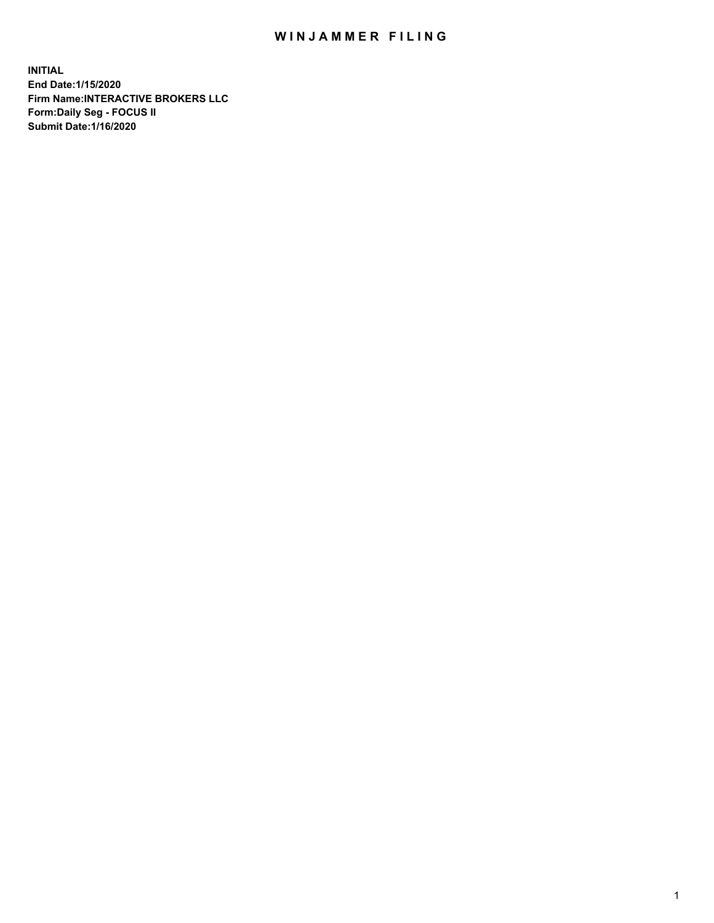## WIN JAMMER FILING

**INITIAL End Date:1/15/2020 Firm Name:INTERACTIVE BROKERS LLC Form:Daily Seg - FOCUS II Submit Date:1/16/2020**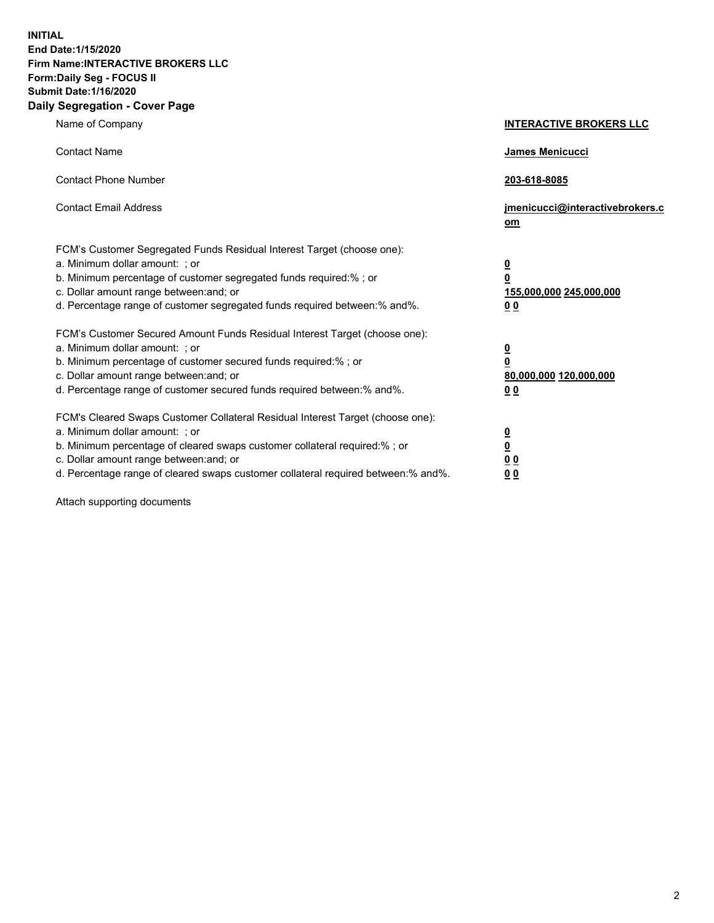**INITIAL End Date:1/15/2020 Firm Name:INTERACTIVE BROKERS LLC Form:Daily Seg - FOCUS II Submit Date:1/16/2020 Daily Segregation - Cover Page**

| Name of Company                                                                                                                                                                                                                                                                                                                 | <b>INTERACTIVE BROKERS LLC</b>                                                   |
|---------------------------------------------------------------------------------------------------------------------------------------------------------------------------------------------------------------------------------------------------------------------------------------------------------------------------------|----------------------------------------------------------------------------------|
| <b>Contact Name</b>                                                                                                                                                                                                                                                                                                             | <b>James Menicucci</b>                                                           |
| <b>Contact Phone Number</b>                                                                                                                                                                                                                                                                                                     | 203-618-8085                                                                     |
| <b>Contact Email Address</b>                                                                                                                                                                                                                                                                                                    | jmenicucci@interactivebrokers.c<br>om                                            |
| FCM's Customer Segregated Funds Residual Interest Target (choose one):<br>a. Minimum dollar amount: ; or<br>b. Minimum percentage of customer segregated funds required:% ; or<br>c. Dollar amount range between: and; or<br>d. Percentage range of customer segregated funds required between:% and%.                          | <u>0</u><br>$\overline{\mathbf{0}}$<br>155,000,000 245,000,000<br>0 <sub>0</sub> |
| FCM's Customer Secured Amount Funds Residual Interest Target (choose one):<br>a. Minimum dollar amount: ; or<br>b. Minimum percentage of customer secured funds required:%; or<br>c. Dollar amount range between: and; or<br>d. Percentage range of customer secured funds required between:% and%.                             | <u>0</u><br>$\overline{\mathbf{0}}$<br>80,000,000 120,000,000<br>0 <sub>0</sub>  |
| FCM's Cleared Swaps Customer Collateral Residual Interest Target (choose one):<br>a. Minimum dollar amount: ; or<br>b. Minimum percentage of cleared swaps customer collateral required:%; or<br>c. Dollar amount range between: and; or<br>d. Percentage range of cleared swaps customer collateral required between: % and %. | <u>0</u><br>$\underline{\mathbf{0}}$<br>0 <sub>0</sub><br>0 <sub>0</sub>         |

Attach supporting documents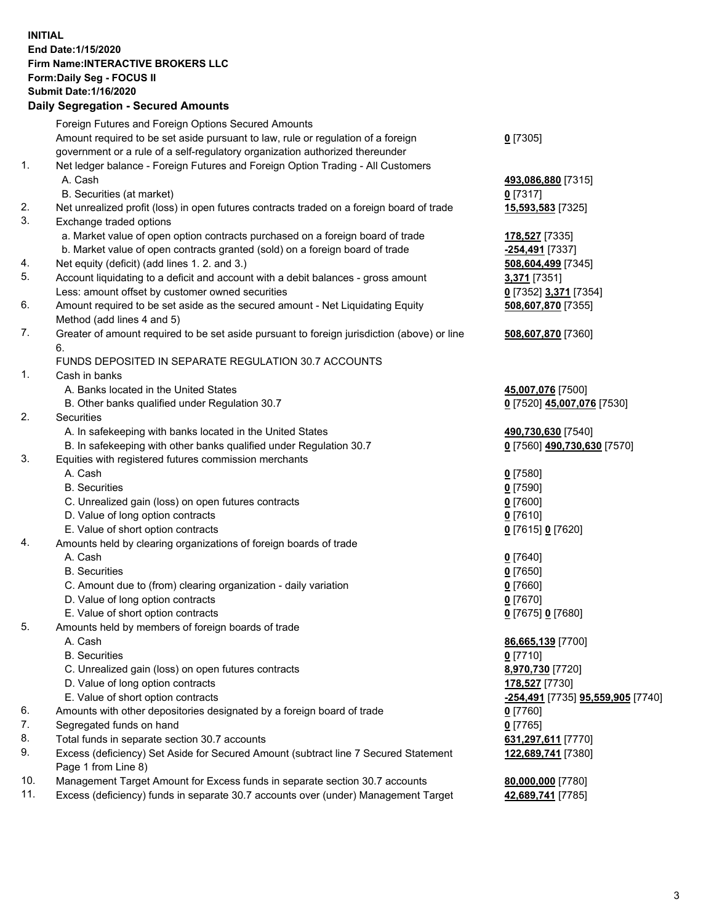## **INITIAL End Date:1/15/2020 Firm Name:INTERACTIVE BROKERS LLC Form:Daily Seg - FOCUS II Submit Date:1/16/2020 Daily Segregation - Secured Amounts**

|     | Dany Ocgregation - Occarea Anioants                                                                        |                                   |
|-----|------------------------------------------------------------------------------------------------------------|-----------------------------------|
|     | Foreign Futures and Foreign Options Secured Amounts                                                        |                                   |
|     | Amount required to be set aside pursuant to law, rule or regulation of a foreign                           | $0$ [7305]                        |
|     | government or a rule of a self-regulatory organization authorized thereunder                               |                                   |
| 1.  | Net ledger balance - Foreign Futures and Foreign Option Trading - All Customers                            |                                   |
|     | A. Cash                                                                                                    | 493,086,880 [7315]                |
|     | B. Securities (at market)                                                                                  | $0$ [7317]                        |
| 2.  | Net unrealized profit (loss) in open futures contracts traded on a foreign board of trade                  | 15,593,583 [7325]                 |
| 3.  | Exchange traded options                                                                                    |                                   |
|     | a. Market value of open option contracts purchased on a foreign board of trade                             | 178,527 [7335]                    |
|     | b. Market value of open contracts granted (sold) on a foreign board of trade                               | -254,491 [7337]                   |
| 4.  | Net equity (deficit) (add lines 1.2. and 3.)                                                               | 508,604,499 [7345]                |
| 5.  | Account liquidating to a deficit and account with a debit balances - gross amount                          | 3,371 [7351]                      |
|     | Less: amount offset by customer owned securities                                                           | 0 [7352] 3,371 [7354]             |
| 6.  | Amount required to be set aside as the secured amount - Net Liquidating Equity                             | 508,607,870 [7355]                |
|     | Method (add lines 4 and 5)                                                                                 |                                   |
| 7.  | Greater of amount required to be set aside pursuant to foreign jurisdiction (above) or line                | 508,607,870 [7360]                |
|     | 6.                                                                                                         |                                   |
|     | FUNDS DEPOSITED IN SEPARATE REGULATION 30.7 ACCOUNTS                                                       |                                   |
| 1.  | Cash in banks                                                                                              |                                   |
|     | A. Banks located in the United States                                                                      | 45,007,076 [7500]                 |
|     | B. Other banks qualified under Regulation 30.7                                                             | 0 [7520] 45,007,076 [7530]        |
| 2.  | Securities                                                                                                 |                                   |
|     | A. In safekeeping with banks located in the United States                                                  | 490,730,630 [7540]                |
|     | B. In safekeeping with other banks qualified under Regulation 30.7                                         | 0 [7560] 490,730,630 [7570]       |
| 3.  | Equities with registered futures commission merchants                                                      |                                   |
|     | A. Cash                                                                                                    | $0$ [7580]                        |
|     | <b>B.</b> Securities                                                                                       | $0$ [7590]                        |
|     | C. Unrealized gain (loss) on open futures contracts                                                        | $0$ [7600]                        |
|     | D. Value of long option contracts                                                                          | $0$ [7610]                        |
|     | E. Value of short option contracts                                                                         | 0 [7615] 0 [7620]                 |
| 4.  | Amounts held by clearing organizations of foreign boards of trade                                          |                                   |
|     | A. Cash                                                                                                    | $0$ [7640]                        |
|     | <b>B.</b> Securities                                                                                       | $0$ [7650]                        |
|     | C. Amount due to (from) clearing organization - daily variation                                            | $0$ [7660]                        |
|     | D. Value of long option contracts                                                                          | $0$ [7670]                        |
|     | E. Value of short option contracts                                                                         | 0 [7675] 0 [7680]                 |
| 5.  | Amounts held by members of foreign boards of trade                                                         |                                   |
|     | A. Cash                                                                                                    | 86,665,139 [7700]                 |
|     | <b>B.</b> Securities                                                                                       | $0$ [7710]                        |
|     | C. Unrealized gain (loss) on open futures contracts                                                        | 8,970,730 [7720]                  |
|     | D. Value of long option contracts                                                                          | 178,527 [7730]                    |
|     | E. Value of short option contracts                                                                         | -254,491 [7735] 95,559,905 [7740] |
| 6.  | Amounts with other depositories designated by a foreign board of trade                                     | $0$ [7760]                        |
| 7.  | Segregated funds on hand                                                                                   | $0$ [7765]                        |
| 8.  | Total funds in separate section 30.7 accounts                                                              | 631,297,611 [7770]                |
| 9.  | Excess (deficiency) Set Aside for Secured Amount (subtract line 7 Secured Statement<br>Page 1 from Line 8) | 122,689,741 [7380]                |
| 10. | Management Target Amount for Excess funds in separate section 30.7 accounts                                | 80,000,000 [7780]                 |
| 11. | Excess (deficiency) funds in separate 30.7 accounts over (under) Management Target                         | 42,689,741 [7785]                 |
|     |                                                                                                            |                                   |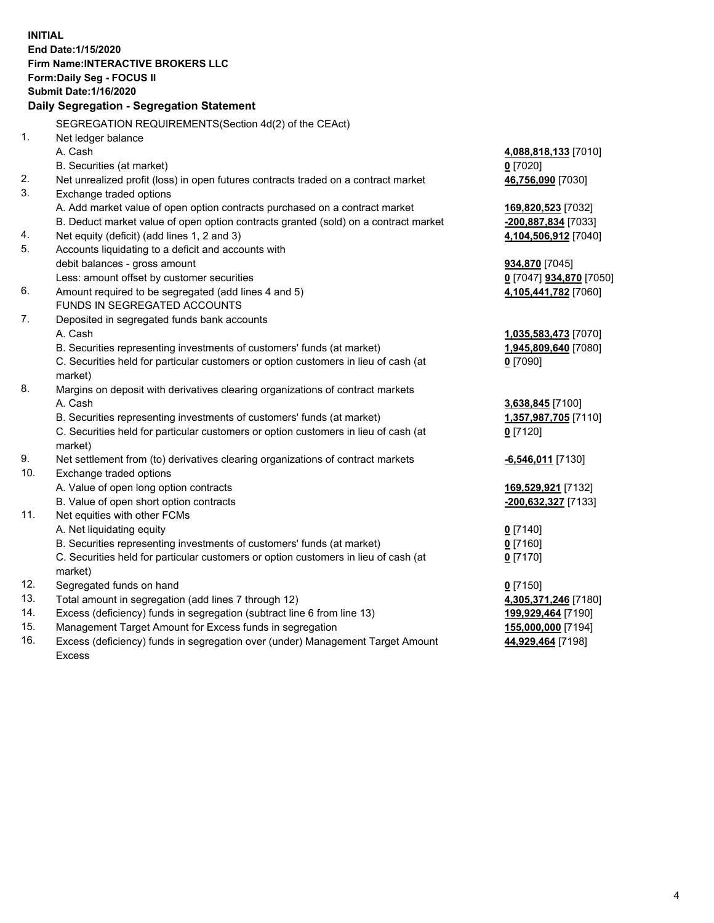**INITIAL End Date:1/15/2020 Firm Name:INTERACTIVE BROKERS LLC Form:Daily Seg - FOCUS II Submit Date:1/16/2020 Daily Segregation - Segregation Statement** SEGREGATION REQUIREMENTS(Section 4d(2) of the CEAct) 1. Net ledger balance A. Cash **4,088,818,133** [7010] B. Securities (at market) **0** [7020] 2. Net unrealized profit (loss) in open futures contracts traded on a contract market **46,756,090** [7030] 3. Exchange traded options A. Add market value of open option contracts purchased on a contract market **169,820,523** [7032] B. Deduct market value of open option contracts granted (sold) on a contract market **-200,887,834** [7033] 4. Net equity (deficit) (add lines 1, 2 and 3) **4,104,506,912** [7040] 5. Accounts liquidating to a deficit and accounts with debit balances - gross amount **934,870** [7045] Less: amount offset by customer securities **0** [7047] **934,870** [7050] 6. Amount required to be segregated (add lines 4 and 5) **4,105,441,782** [7060] FUNDS IN SEGREGATED ACCOUNTS 7. Deposited in segregated funds bank accounts A. Cash **1,035,583,473** [7070] B. Securities representing investments of customers' funds (at market) **1,945,809,640** [7080] C. Securities held for particular customers or option customers in lieu of cash (at market) **0** [7090] 8. Margins on deposit with derivatives clearing organizations of contract markets A. Cash **3,638,845** [7100] B. Securities representing investments of customers' funds (at market) **1,357,987,705** [7110] C. Securities held for particular customers or option customers in lieu of cash (at market) **0** [7120] 9. Net settlement from (to) derivatives clearing organizations of contract markets **-6,546,011** [7130] 10. Exchange traded options A. Value of open long option contracts **169,529,921** [7132] B. Value of open short option contracts **-200,632,327** [7133] 11. Net equities with other FCMs A. Net liquidating equity **0** [7140] B. Securities representing investments of customers' funds (at market) **0** [7160] C. Securities held for particular customers or option customers in lieu of cash (at market) **0** [7170] 12. Segregated funds on hand **0** [7150] 13. Total amount in segregation (add lines 7 through 12) **4,305,371,246** [7180] 14. Excess (deficiency) funds in segregation (subtract line 6 from line 13) **199,929,464** [7190] 15. Management Target Amount for Excess funds in segregation **155,000,000** [7194] **44,929,464** [7198]

16. Excess (deficiency) funds in segregation over (under) Management Target Amount Excess